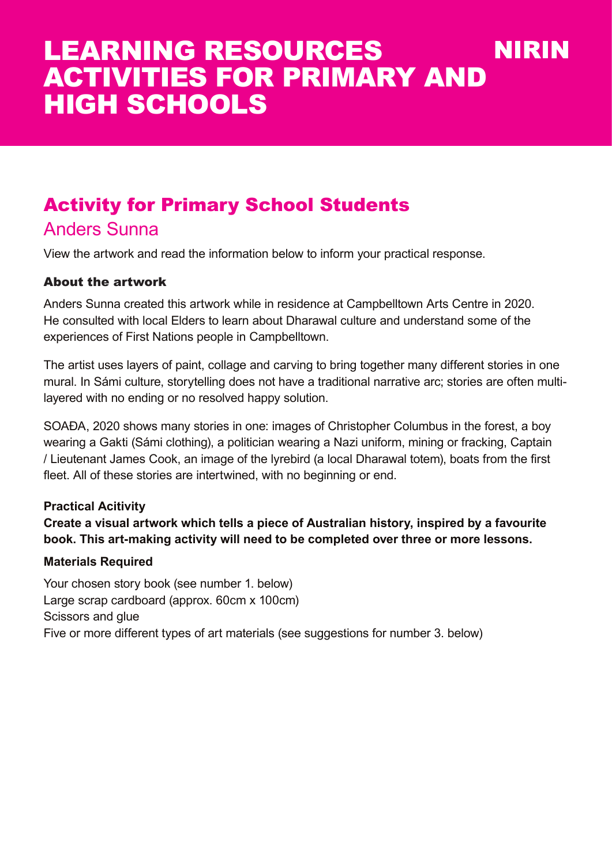# Activity for Primary School Students

### Anders Sunna

View the artwork and read the information below to inform your practical response.

#### About the artwork

Anders Sunna created this artwork while in residence at Campbelltown Arts Centre in 2020. He consulted with local Elders to learn about Dharawal culture and understand some of the experiences of First Nations people in Campbelltown.

The artist uses layers of paint, collage and carving to bring together many different stories in one mural. In Sámi culture, storytelling does not have a traditional narrative arc; stories are often multilayered with no ending or no resolved happy solution.

SOAÐA, 2020 shows many stories in one: images of Christopher Columbus in the forest, a boy wearing a Gakti (Sámi clothing), a politician wearing a Nazi uniform, mining or fracking, Captain / Lieutenant James Cook, an image of the lyrebird (a local Dharawal totem), boats from the first fleet. All of these stories are intertwined, with no beginning or end.

#### **Practical Acitivity**

**Create a visual artwork which tells a piece of Australian history, inspired by a favourite book. This art-making activity will need to be completed over three or more lessons.**

#### **Materials Required**

Your chosen story book (see number 1. below) Large scrap cardboard (approx. 60cm x 100cm) Scissors and glue Five or more different types of art materials (see suggestions for number 3. below)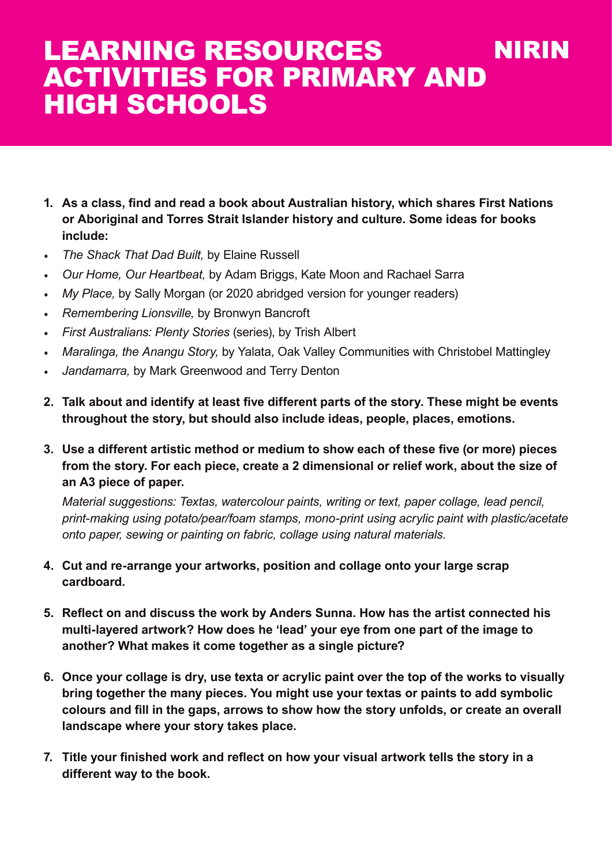- **1. As a class, find and read a book about Australian history, which shares First Nations or Aboriginal and Torres Strait Islander history and culture. Some ideas for books include:**
- *• The Shack That Dad Built,* by Elaine Russell
- *• Our Home, Our Heartbeat,* by Adam Briggs, Kate Moon and Rachael Sarra
- *• My Place,* by Sally Morgan (or 2020 abridged version for younger readers)
- *• Remembering Lionsville,* by Bronwyn Bancroft
- *• First Australians: Plenty Stories* (series), by Trish Albert
- *• Maralinga, the Anangu Story,* by Yalata, Oak Valley Communities with Christobel Mattingley
- *• Jandamarra,* by Mark Greenwood and Terry Denton
- **2. Talk about and identify at least five different parts of the story. These might be events throughout the story, but should also include ideas, people, places, emotions.**
- **3. Use a different artistic method or medium to show each of these five (or more) pieces from the story. For each piece, create a 2 dimensional or relief work, about the size of an A3 piece of paper.**

*Material suggestions: Textas, watercolour paints, writing or text, paper collage, lead pencil, print-making using potato/pear/foam stamps, mono-print using acrylic paint with plastic/acetate onto paper, sewing or painting on fabric, collage using natural materials.*

- **4. Cut and re-arrange your artworks, position and collage onto your large scrap cardboard.**
- **5. Reflect on and discuss the work by Anders Sunna. How has the artist connected his multi-layered artwork? How does he 'lead' your eye from one part of the image to another? What makes it come together as a single picture?**
- **6. Once your collage is dry, use texta or acrylic paint over the top of the works to visually bring together the many pieces. You might use your textas or paints to add symbolic colours and fill in the gaps, arrows to show how the story unfolds, or create an overall landscape where your story takes place.**
- **7. Title your finished work and reflect on how your visual artwork tells the story in a different way to the book.**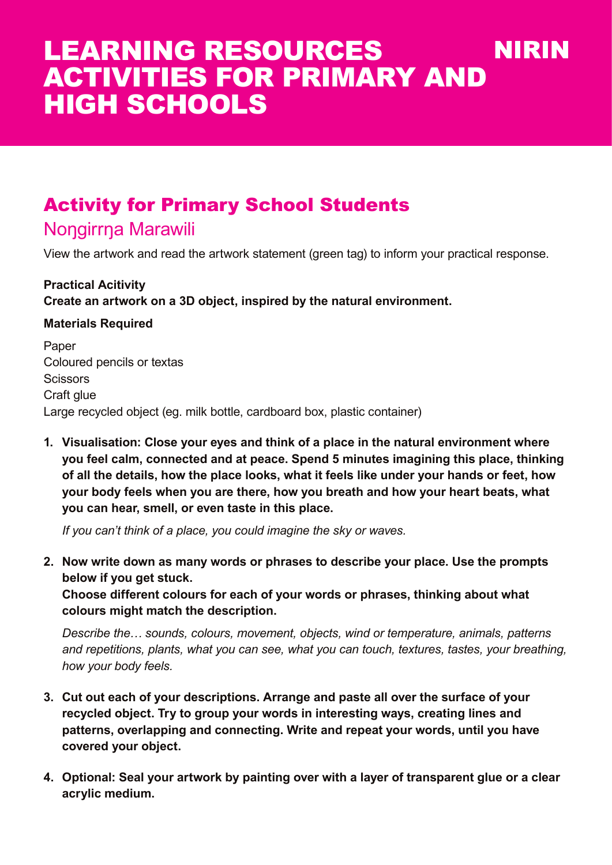# Activity for Primary School Students

## Nongirrna Marawili

View the artwork and read the artwork statement (green tag) to inform your practical response.

**Practical Acitivity Create an artwork on a 3D object, inspired by the natural environment.** 

#### **Materials Required**

Paper Coloured pencils or textas **Scissors** Craft glue Large recycled object (eg. milk bottle, cardboard box, plastic container)

**1. Visualisation: Close your eyes and think of a place in the natural environment where you feel calm, connected and at peace. Spend 5 minutes imagining this place, thinking of all the details, how the place looks, what it feels like under your hands or feet, how your body feels when you are there, how you breath and how your heart beats, what you can hear, smell, or even taste in this place.**

*If you can't think of a place, you could imagine the sky or waves.*

**2. Now write down as many words or phrases to describe your place. Use the prompts below if you get stuck.** 

**Choose different colours for each of your words or phrases, thinking about what colours might match the description.**

*Describe the… sounds, colours, movement, objects, wind or temperature, animals, patterns and repetitions, plants, what you can see, what you can touch, textures, tastes, your breathing, how your body feels.*

- **3. Cut out each of your descriptions. Arrange and paste all over the surface of your recycled object. Try to group your words in interesting ways, creating lines and patterns, overlapping and connecting. Write and repeat your words, until you have covered your object.**
- **4. Optional: Seal your artwork by painting over with a layer of transparent glue or a clear acrylic medium.**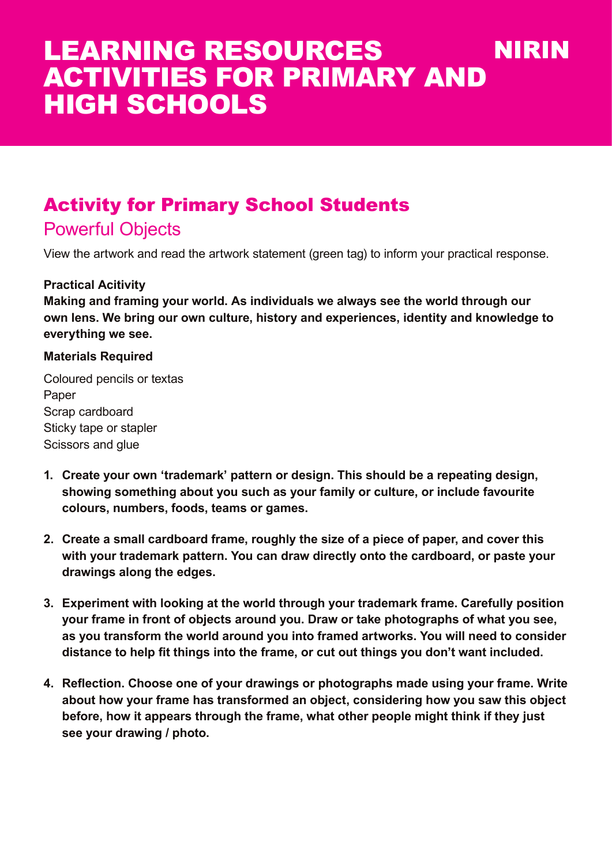# Activity for Primary School Students

## Powerful Objects

View the artwork and read the artwork statement (green tag) to inform your practical response.

#### **Practical Acitivity**

**Making and framing your world. As individuals we always see the world through our own lens. We bring our own culture, history and experiences, identity and knowledge to everything we see.** 

#### **Materials Required**

Coloured pencils or textas Paper Scrap cardboard Sticky tape or stapler Scissors and glue

- **1. Create your own 'trademark' pattern or design. This should be a repeating design, showing something about you such as your family or culture, or include favourite colours, numbers, foods, teams or games.**
- **2. Create a small cardboard frame, roughly the size of a piece of paper, and cover this with your trademark pattern. You can draw directly onto the cardboard, or paste your drawings along the edges.**
- **3. Experiment with looking at the world through your trademark frame. Carefully position your frame in front of objects around you. Draw or take photographs of what you see, as you transform the world around you into framed artworks. You will need to consider distance to help fit things into the frame, or cut out things you don't want included.**
- **4. Reflection. Choose one of your drawings or photographs made using your frame. Write about how your frame has transformed an object, considering how you saw this object before, how it appears through the frame, what other people might think if they just see your drawing / photo.**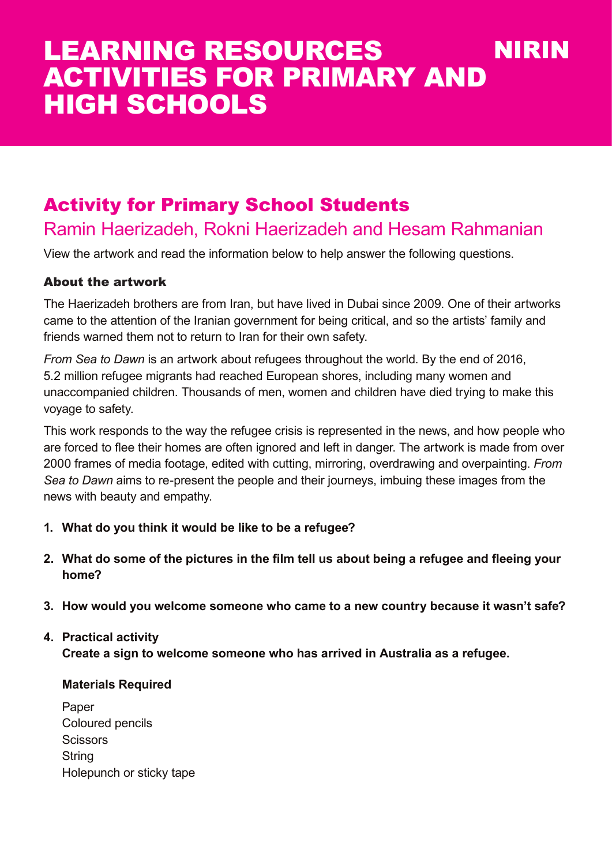# Activity for Primary School Students

## Ramin Haerizadeh, Rokni Haerizadeh and Hesam Rahmanian

View the artwork and read the information below to help answer the following questions.

#### About the artwork

The Haerizadeh brothers are from Iran, but have lived in Dubai since 2009. One of their artworks came to the attention of the Iranian government for being critical, and so the artists' family and friends warned them not to return to Iran for their own safety.

*From Sea to Dawn* is an artwork about refugees throughout the world. By the end of 2016, 5.2 million refugee migrants had reached European shores, including many women and unaccompanied children. Thousands of men, women and children have died trying to make this voyage to safety.

This work responds to the way the refugee crisis is represented in the news, and how people who are forced to flee their homes are often ignored and left in danger. The artwork is made from over 2000 frames of media footage, edited with cutting, mirroring, overdrawing and overpainting. *From Sea to Dawn* aims to re-present the people and their journeys, imbuing these images from the news with beauty and empathy.

- **1. What do you think it would be like to be a refugee?**
- **2. What do some of the pictures in the film tell us about being a refugee and fleeing your home?**
- **3. How would you welcome someone who came to a new country because it wasn't safe?**

#### **4. Practical activity**

**Create a sign to welcome someone who has arrived in Australia as a refugee.**

#### **Materials Required**

Paper Coloured pencils **Scissors String** Holepunch or sticky tape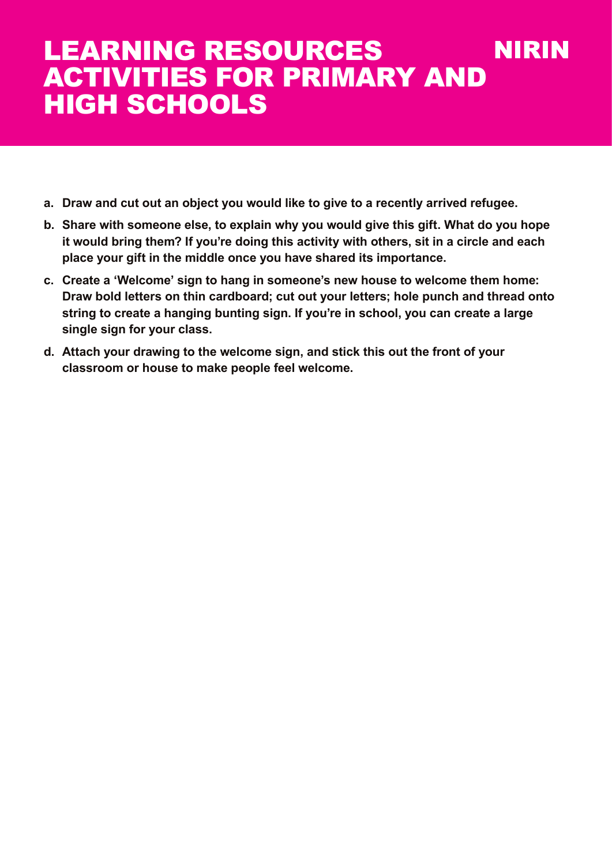- **a. Draw and cut out an object you would like to give to a recently arrived refugee.**
- **b. Share with someone else, to explain why you would give this gift. What do you hope it would bring them? If you're doing this activity with others, sit in a circle and each place your gift in the middle once you have shared its importance.**
- **c. Create a 'Welcome' sign to hang in someone's new house to welcome them home: Draw bold letters on thin cardboard; cut out your letters; hole punch and thread onto string to create a hanging bunting sign. If you're in school, you can create a large single sign for your class.**
- **d. Attach your drawing to the welcome sign, and stick this out the front of your classroom or house to make people feel welcome.**